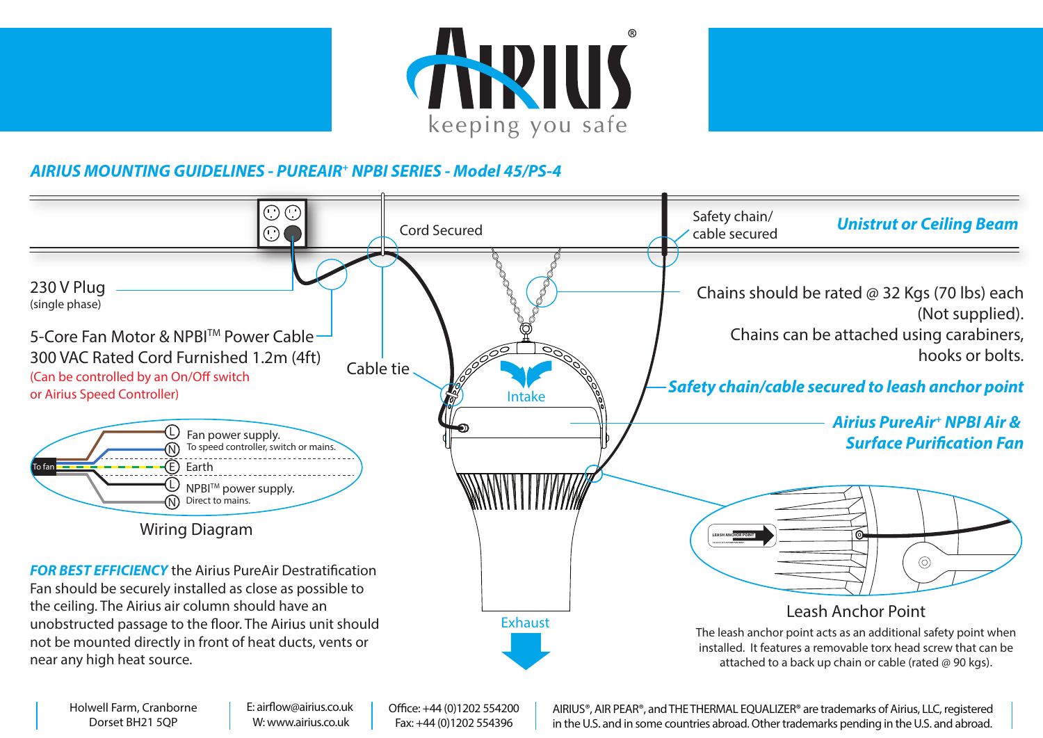



## **AIRIUS MOUNTING GUIDELINES - PUREAIR<sup>+</sup> NPBI SERIES - Model 45/PS-4**



Holwell Farm, Cranborne Dorset BH21 5QP

E: airflow@airius.co.uk W: www.airius.co.uk

Office: +44 (0)1202 554200 Fax: +44 (0)1202 554396

AIRIUS®, AIR PEAR®, and THE THERMAL EQUALIZER® are trademarks of Airius, LLC, registered in the U.S. and in some countries abroad. Other trademarks pending in the U.S. and abroad.